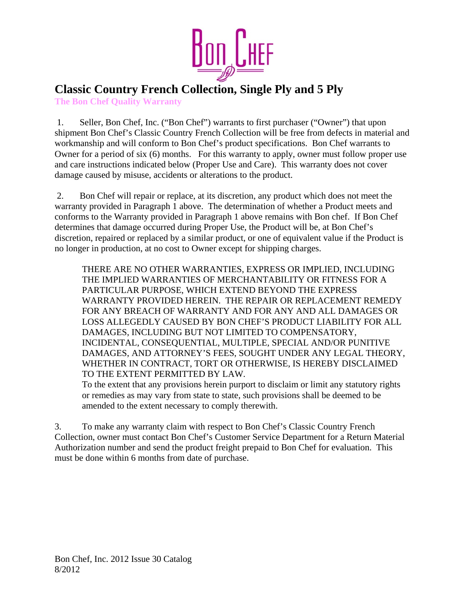

## **Classic Country French Collection, Single Ply and 5 Ply The Bon Chef Quality Warranty**

 1. Seller, Bon Chef, Inc. ("Bon Chef") warrants to first purchaser ("Owner") that upon shipment Bon Chef's Classic Country French Collection will be free from defects in material and workmanship and will conform to Bon Chef's product specifications. Bon Chef warrants to Owner for a period of six (6) months. For this warranty to apply, owner must follow proper use and care instructions indicated below (Proper Use and Care). This warranty does not cover damage caused by misuse, accidents or alterations to the product.

 2. Bon Chef will repair or replace, at its discretion, any product which does not meet the warranty provided in Paragraph 1 above. The determination of whether a Product meets and conforms to the Warranty provided in Paragraph 1 above remains with Bon chef. If Bon Chef determines that damage occurred during Proper Use, the Product will be, at Bon Chef's discretion, repaired or replaced by a similar product, or one of equivalent value if the Product is no longer in production, at no cost to Owner except for shipping charges.

THERE ARE NO OTHER WARRANTIES, EXPRESS OR IMPLIED, INCLUDING THE IMPLIED WARRANTIES OF MERCHANTABILITY OR FITNESS FOR A PARTICULAR PURPOSE, WHICH EXTEND BEYOND THE EXPRESS WARRANTY PROVIDED HEREIN. THE REPAIR OR REPLACEMENT REMEDY FOR ANY BREACH OF WARRANTY AND FOR ANY AND ALL DAMAGES OR LOSS ALLEGEDLY CAUSED BY BON CHEF'S PRODUCT LIABILITY FOR ALL DAMAGES, INCLUDING BUT NOT LIMITED TO COMPENSATORY, INCIDENTAL, CONSEQUENTIAL, MULTIPLE, SPECIAL AND/OR PUNITIVE DAMAGES, AND ATTORNEY'S FEES, SOUGHT UNDER ANY LEGAL THEORY, WHETHER IN CONTRACT, TORT OR OTHERWISE, IS HEREBY DISCLAIMED TO THE EXTENT PERMITTED BY LAW.

To the extent that any provisions herein purport to disclaim or limit any statutory rights or remedies as may vary from state to state, such provisions shall be deemed to be amended to the extent necessary to comply therewith.

3. To make any warranty claim with respect to Bon Chef's Classic Country French Collection, owner must contact Bon Chef's Customer Service Department for a Return Material Authorization number and send the product freight prepaid to Bon Chef for evaluation. This must be done within 6 months from date of purchase.